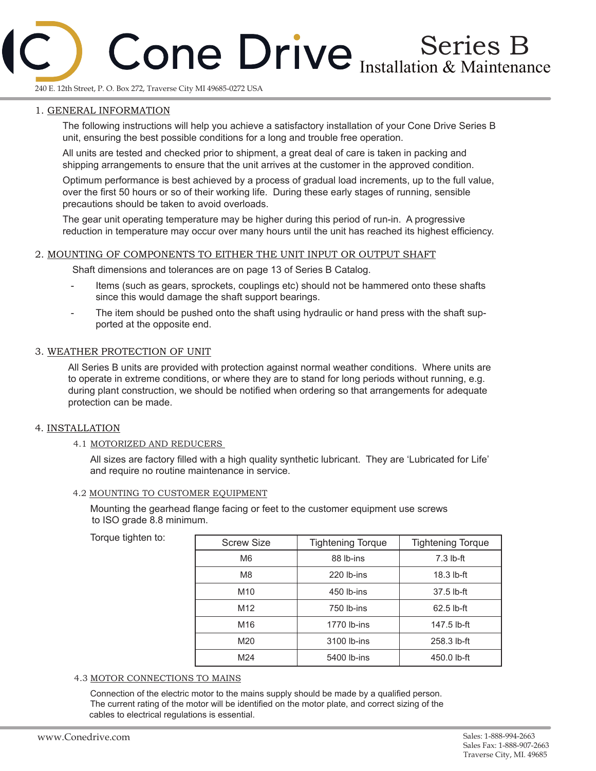# Series B Installation & Maintenance

240 E. 12th Street, P. O. Box 272, Traverse City MI 49685-0272 USA

# 1. GENERAL INFORMATION

The following instructions will help you achieve a satisfactory installation of your Cone Drive Series B unit, ensuring the best possible conditions for a long and trouble free operation.

All units are tested and checked prior to shipment, a great deal of care is taken in packing and shipping arrangements to ensure that the unit arrives at the customer in the approved condition.

Optimum performance is best achieved by a process of gradual load increments, up to the full value, over the first 50 hours or so of their working life. During these early stages of running, sensible precautions should be taken to avoid overloads.

The gear unit operating temperature may be higher during this period of run-in. A progressive reduction in temperature may occur over many hours until the unit has reached its highest efficiency.

# 2. MOUNTING OF COMPONENTS TO EITHER THE UNIT INPUT OR OUTPUT SHAFT

Shaft dimensions and tolerances are on page 13 of Series B Catalog.

- Items (such as gears, sprockets, couplings etc) should not be hammered onto these shafts since this would damage the shaft support bearings.
- The item should be pushed onto the shaft using hydraulic or hand press with the shaft supported at the opposite end.

# 3. WEATHER PROTECTION OF UNIT

All Series B units are provided with protection against normal weather conditions. Where units are to operate in extreme conditions, or where they are to stand for long periods without running, e.g. during plant construction, we should be notified when ordering so that arrangements for adequate protection can be made.

# 4. INSTALLATION

#### 4.1 MOTORIZED AND REDUCERS

All sizes are factory filled with a high quality synthetic lubricant. They are 'Lubricated for Life' and require no routine maintenance in service.

#### 4.2 MOUNTING TO CUSTOMER EQUIPMENT

Mounting the gearhead flange facing or feet to the customer equipment use screws to ISO grade 8.8 minimum.

Torque tighten to:

| <b>Screw Size</b> | <b>Tightening Torque</b> | <b>Tightening Torque</b> |  |  |  |
|-------------------|--------------------------|--------------------------|--|--|--|
| M6                | 88 lb-ins                | $7.3$ lb-ft              |  |  |  |
| M <sub>8</sub>    | 220 lb-ins               | $18.3$ lb-ft             |  |  |  |
| M <sub>10</sub>   | 450 lb-ins               | $37.5$ lb-ft             |  |  |  |
| M <sub>12</sub>   | 750 lb-ins               | $62.5$ lb-ft             |  |  |  |
| M <sub>16</sub>   | 1770 lb-ins              | 147.5 lb-ft              |  |  |  |
| M20               | 3100 lb-ins              | 258.3 lb-ft              |  |  |  |
| M <sub>24</sub>   | 5400 lb-ins              | 450.0 lb-ft              |  |  |  |

#### 4.3 MOTOR CONNECTIONS TO MAINS

Connection of the electric motor to the mains supply should be made by a qualified person. The current rating of the motor will be identified on the motor plate, and correct sizing of the cables to electrical regulations is essential.